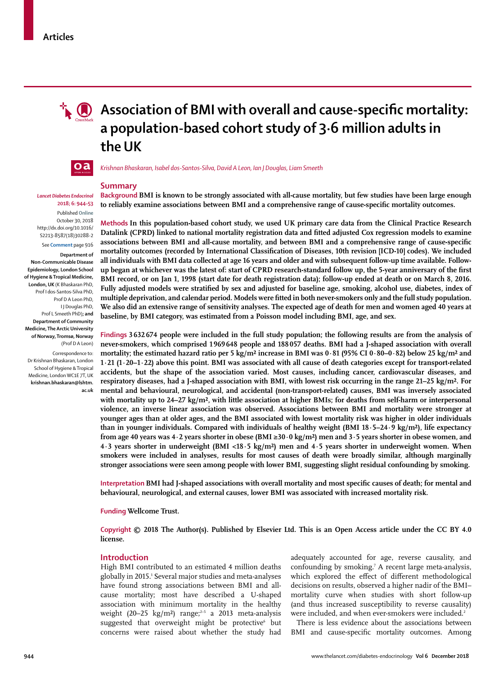# **Association of BMI with overall and cause-specific mortality: a population-based cohort study of 3·6 million adults in the UK**



*Krishnan Bhaskaran, Isabel dos-Santos-Silva, David A Leon, Ian J Douglas, Liam Smeeth*

# **Summary**

*Lancet Diabetes Endocrinol* **2018; 6: 944–53**

Published **Online** October 30, 2018 http://dx.doi.org/10.1016/ S2213-8587(18)30288-2

#### See **Comment** page 916

**Department of Non-Communicable Disease Epidemiology, London School of Hygiene & Tropical Medicine, London, UK** (K Bhaskaran PhD, Prof I dos-Santos-Silva PhD, Prof D A Leon PhD, I J Douglas PhD, Prof L Smeeth PhD)**; and Department of Community Medicine, The Arctic University of Norway, Tromsø, Norway**  (Prof D A Leon)

Correspondence to: Dr Krishnan Bhaskaran, London School of Hygiene & Tropical Medicine, London WC1E 7T, UK **krishnan.bhaskaran@lshtm. ac.uk**



**Background BMI is known to be strongly associated with all-cause mortality, but few studies have been large enough to reliably examine associations between BMI and a comprehensive range of cause-specific mortality outcomes.**

**Methods In this population-based cohort study, we used UK primary care data from the Clinical Practice Research Datalink (CPRD) linked to national mortality registration data and fitted adjusted Cox regression models to examine associations between BMI and all-cause mortality, and between BMI and a comprehensive range of cause-specific mortality outcomes (recorded by International Classification of Diseases, 10th revision [ICD-10] codes). We included all individuals with BMI data collected at age 16 years and older and with subsequent follow-up time available. Followup began at whichever was the latest of: start of CPRD research-standard follow up, the 5-year anniversary of the first BMI record, or on Jan 1, 1998 (start date for death registration data); follow-up ended at death or on March 8, 2016. Fully adjusted models were stratified by sex and adjusted for baseline age, smoking, alcohol use, diabetes, index of multiple deprivation, and calendar period. Models were fitted in both never-smokers only and the full study population. We also did an extensive range of sensitivity analyses. The expected age of death for men and women aged 40 years at baseline, by BMI category, was estimated from a Poisson model including BMI, age, and sex.**

**Findings 3 632674 people were included in the full study population; the following results are from the analysis of never-smokers, which comprised 1 969648 people and 188 057 deaths. BMI had a J-shaped association with overall mortality; the estimated hazard ratio per 5 kg/m² increase in BMI was 0·81 (95% CI 0·80–0·82) below 25 kg/m² and 1·21 (1·20–1·22) above this point. BMI was associated with all cause of death categories except for transport-related accidents, but the shape of the association varied. Most causes, including cancer, cardiovascular diseases, and respiratory diseases, had a J-shaped association with BMI, with lowest risk occurring in the range 21–25 kg/m². For mental and behavioural, neurological, and accidental (non-transport-related) causes, BMI was inversely associated with mortality up to 24–27 kg/m², with little association at higher BMIs; for deaths from self-harm or interpersonal violence, an inverse linear association was observed. Associations between BMI and mortality were stronger at younger ages than at older ages, and the BMI associated with lowest mortality risk was higher in older individuals than in younger individuals. Compared with individuals of healthy weight (BMI 18·5–24·9 kg/m²), life expectancy from age 40 years was 4·2 years shorter in obese (BMI ≥30·0 kg/m²) men and 3·5 years shorter in obese women, and 4·3 years shorter in underweight (BMI <18·5 kg/m²) men and 4·5 years shorter in underweight women. When smokers were included in analyses, results for most causes of death were broadly similar, although marginally stronger associations were seen among people with lower BMI, suggesting slight residual confounding by smoking.**

**Interpretation BMI had J-shaped associations with overall mortality and most specific causes of death; for mental and behavioural, neurological, and external causes, lower BMI was associated with increased mortality risk.**

#### **Funding Wellcome Trust.**

**Copyright © 2018 The Author(s). Published by Elsevier Ltd. This is an Open Access article under the CC BY 4.0 license.**

# **Introduction**

High BMI contributed to an estimated 4 million deaths globally in 2015.1 Several major studies and meta-analyses have found strong associations between BMI and allcause mortality; most have described a U-shaped association with minimum mortality in the healthy weight (20–25 kg/m<sup>2</sup>) range;<sup>2-5</sup> a 2013 meta-analysis suggested that overweight might be protective<sup>6</sup> but concerns were raised about whether the study had

adequately accounted for age, reverse causality, and confounding by smoking.7 A recent large meta-analysis, which explored the effect of different methodological decisions on results, observed a higher nadir of the BMI– mortality curve when studies with short follow-up (and thus increased susceptibility to reverse causality) were included, and when ever-smokers were included.<sup>2</sup>

There is less evidence about the associations between BMI and cause-specific mortality outcomes. Among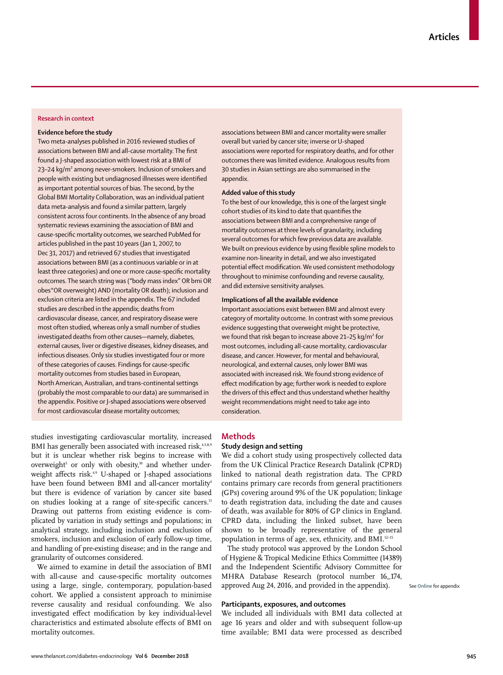# **Research in context**

# **Evidence before the study**

Two meta-analyses published in 2016 reviewed studies of associations between BMI and all-cause mortality. The first found a J-shaped association with lowest risk at a BMI of 23–24 kg/m² among never-smokers. Inclusion of smokers and people with existing but undiagnosed illnesses were identified as important potential sources of bias. The second, by the Global BMI Mortality Collaboration, was an individual patient data meta-analysis and found a similar pattern, largely consistent across four continents. In the absence of any broad systematic reviews examining the association of BMI and cause-specific mortality outcomes, we searched PubMed for articles published in the past 10 years (Jan 1, 2007, to Dec 31, 2017) and retrieved 67 studies that investigated associations between BMI (as a continuous variable or in at least three categories) and one or more cause-specific mortality outcomes. The search string was ("body mass index" OR bmi OR obes\*OR overweight) AND (mortality OR death); inclusion and exclusion criteria are listed in the appendix. The 67 included studies are described in the appendix; deaths from cardiovascular disease, cancer, and respiratory disease were most often studied, whereas only a small number of studies investigated deaths from other causes—namely, diabetes, external causes, liver or digestive diseases, kidney diseases, and infectious diseases. Only six studies investigated four or more of these categories of causes. Findings for cause-specific mortality outcomes from studies based in European, North American, Australian, and trans-continental settings (probably the most comparable to our data) are summarised in the appendix. Positive or J-shaped associations were observed for most cardiovascular disease mortality outcomes;

studies investigating cardiovascular mortality, increased BMI has generally been associated with increased risk,<sup>4,5,8,9</sup> but it is unclear whether risk begins to increase with overweight<sup>s</sup> or only with obesity,<sup>10</sup> and whether underweight affects risk.<sup>4,9</sup> U-shaped or J-shaped associations have been found between BMI and all-cancer mortality<sup>4</sup> but there is evidence of variation by cancer site based on studies looking at a range of site-specific cancers.<sup>11</sup> Drawing out patterns from existing evidence is complicated by variation in study settings and populations; in analytical strategy, including inclusion and exclusion of smokers, inclusion and exclusion of early follow-up time, and handling of pre-existing disease; and in the range and granularity of outcomes considered.

We aimed to examine in detail the association of BMI with all-cause and cause-specific mortality outcomes using a large, single, contemporary, population-based cohort. We applied a consistent approach to minimise reverse causality and residual confounding. We also investigated effect modification by key individual-level characteristics and estimated absolute effects of BMI on mortality outcomes.

associations between BMI and cancer mortality were smaller overall but varied by cancer site; inverse or U-shaped associations were reported for respiratory deaths, and for other outcomes there was limited evidence. Analogous results from 30 studies in Asian settings are also summarised in the appendix.

# **Added value of this study**

To the best of our knowledge, this is one of the largest single cohort studies of its kind to date that quantifies the associations between BMI and a comprehensive range of mortality outcomes at three levels of granularity, including several outcomes for which few previous data are available. We built on previous evidence by using flexible spline models to examine non-linearity in detail, and we also investigated potential effect modification. We used consistent methodology throughout to minimise confounding and reverse causality, and did extensive sensitivity analyses.

### **Implications of all the available evidence**

Important associations exist between BMI and almost every category of mortality outcome. In contrast with some previous evidence suggesting that overweight might be protective, we found that risk began to increase above 21–25 kg/m² for most outcomes, including all-cause mortality, cardiovascular disease, and cancer. However, for mental and behavioural, neurological, and external causes, only lower BMI was associated with increased risk. We found strong evidence of effect modification by age; further work is needed to explore the drivers of this effect and thus understand whether healthy weight recommendations might need to take age into consideration.

# **Methods**

# **Study design and setting**

We did a cohort study using prospectively collected data from the UK Clinical Practice Research Datalink (CPRD) linked to national death registration data. The CPRD contains primary care records from general practitioners (GPs) covering around 9% of the UK population; linkage to death registration data, including the date and causes of death, was available for 80% of GP clinics in England. CPRD data, including the linked subset, have been shown to be broadly representative of the general population in terms of age, sex, ethnicity, and BMI.<sup>12-15</sup>

The study protocol was approved by the London School of Hygiene & Tropical Medicine Ethics Committee (14389) and the Independent Scientific Advisory Committee for MHRA Database Research (protocol number 16\_174, approved Aug 24, 2016, and provided in the appendix).

# **Participants, exposures, and outcomes**

We included all individuals with BMI data collected at age 16 years and older and with subsequent follow-up time available; BMI data were processed as described See **Online** for appendix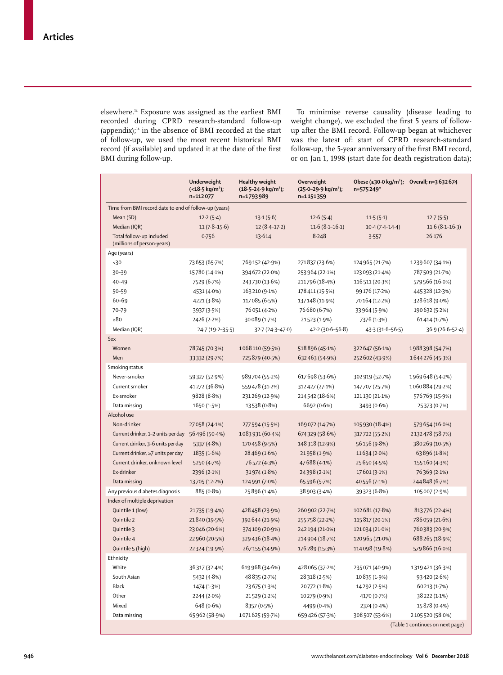elsewhere.12 Exposure was assigned as the earliest BMI recorded during CPRD research-standard follow-up (appendix);14 in the absence of BMI recorded at the start of follow-up, we used the most recent historical BMI record (if available) and updated it at the date of the first BMI during follow-up.

To minimise reverse causality (disease leading to weight change), we excluded the first 5 years of followup after the BMI record. Follow-up began at whichever was the latest of: start of CPRD research-standard follow-up, the 5-year anniversary of the first BMI record, or on Jan 1, 1998 (start date for death registration data);

|                                                        | Underweight<br>$(<18.5 \text{ kg/m}^2)$ ;<br>n=112077 | <b>Healthy weight</b><br>$(18.5 - 24.9 \text{ kg/m}^2)$ ;<br>n=1793989 | Overweight<br>$(25.0 - 29.9 \text{ kg/m}^2)$ ;<br>n=1151359 | Obese (≥30.0 kg/m <sup>2</sup> ); Overall; n=3 632 674<br>n=575249* |                                  |
|--------------------------------------------------------|-------------------------------------------------------|------------------------------------------------------------------------|-------------------------------------------------------------|---------------------------------------------------------------------|----------------------------------|
| Time from BMI record date to end of follow-up (years)  |                                                       |                                                                        |                                                             |                                                                     |                                  |
| Mean (SD)                                              | 12.2(5.4)                                             | 13.1(5.6)                                                              | 12.6(5.4)                                                   | 11.5(5.1)                                                           | 12.7(5.5)                        |
| Median (IQR)                                           | $11(7.8-15.6)$                                        | $12(8.4-17.2)$                                                         | $11.6(8.1 - 16.1)$                                          | $10.4(7.4 - 14.4)$                                                  | $11.6(8.1 - 16.3)$               |
| Total follow-up included<br>(millions of person-years) | 0.756                                                 | 13.614                                                                 | 8.248                                                       | 3.557                                                               | 26.176                           |
| Age (years)                                            |                                                       |                                                                        |                                                             |                                                                     |                                  |
| $30$                                                   | 73 653 (65.7%)                                        | 769152 (42.9%)                                                         | 271837 (23.6%)                                              | 124 965 (21.7%)                                                     | 1239 607 (34.1%)                 |
| 30-39                                                  | 15780 (14.1%)                                         | 394 672 (22.0%)                                                        | 253964 (22-1%)                                              | 123093 (21.4%)                                                      | 787509 (21.7%)                   |
| $40 - 49$                                              | 7529 (6.7%)                                           | 243730 (13.6%)                                                         | 211796 (18.4%)                                              | 116 511 (20-3%)                                                     | 579566 (16.0%)                   |
| $50 - 59$                                              | 4531 (4.0%)                                           | 163210 (9.1%)                                                          | 178 411 (15.5%)                                             | 99176 (17.2%)                                                       | 445328 (12-3%)                   |
| 60-69                                                  | 4221 (3.8%)                                           | 117085 (6.5%)                                                          | 137148 (11.9%)                                              | 70164 (12.2%)                                                       | 328618 (9.0%)                    |
| 70-79                                                  | 3937 (3.5%)                                           | 76 051 (4.2%)                                                          | 76 680 (6.7%)                                               | 33964 (5.9%)                                                        | 190 632 (5.2%)                   |
| $\geq 80$                                              | 2426 (2.2%)                                           | 30089 (1.7%)                                                           | 21523 (1.9%)                                                | 7376 (1.3%)                                                         | 61414 (1.7%)                     |
| Median (IQR)                                           | 24.7 (19.2-35.5)                                      | 32-7 (24-3-47-0)                                                       | $42.2(30.6 - 56.8)$                                         | 43.3 (31.6-56.5)                                                    | 36.9 (26.6-52.4)                 |
| Sex                                                    |                                                       |                                                                        |                                                             |                                                                     |                                  |
| Women                                                  | 78745 (70.3%)                                         | 1068110 (59.5%)                                                        | 518896 (45.1%)                                              | 322 647 (56.1%)                                                     | 1988398 (54.7%)                  |
| Men                                                    | 33332 (29.7%)                                         | 725879 (40.5%)                                                         | 632 463 (54.9%)                                             | 252 602 (43.9%)                                                     | 1644276 (45.3%)                  |
| Smoking status                                         |                                                       |                                                                        |                                                             |                                                                     |                                  |
| Never-smoker                                           | 59327 (52.9%)                                         | 989704 (55.2%)                                                         | 617698 (53.6%)                                              | 302 919 (52.7%)                                                     | 1969648 (54.2%)                  |
| Current smoker                                         | 41272 (36.8%)                                         | 559 478 (31.2%)                                                        | 312 427 (27-1%)                                             | 147707 (25.7%)                                                      | 1060884 (29.2%)                  |
| Ex-smoker                                              | 9828 (8.8%)                                           | 231269 (12.9%)                                                         | 214542 (18.6%)                                              | 121130 (21.1%)                                                      | 576769 (15.9%)                   |
| Data missing                                           | 1650 (1.5%)                                           | 13538 (0.8%)                                                           | 6692 (0.6%)                                                 | 3493 (0.6%)                                                         | 25373 (0.7%)                     |
| Alcohol use                                            |                                                       |                                                                        |                                                             |                                                                     |                                  |
| Non-drinker                                            | 27058 (24.1%)                                         | 277594 (15.5%)                                                         | 169072 (14.7%)                                              | 105 930 (18.4%)                                                     | 579 654 (16.0%)                  |
| Current drinker, 1-2 units per day                     | 56496 (50.4%)                                         | 1083931 (60.4%)                                                        | 674329 (58.6%)                                              | 317722 (55.2%)                                                      | 2132478 (58.7%)                  |
| Current drinker, 3-6 units per day                     | 5337 (4.8%)                                           | 170458 (9.5%)                                                          | 148318 (12.9%)                                              | 56 156 (9.8%)                                                       | 380269 (10.5%)                   |
| Current drinker, ≥7 units per day                      | 1835 (1.6%)                                           | 28469 (1.6%)                                                           | 21958 (1.9%)                                                | 11634 (2.0%)                                                        | 63896 (1.8%)                     |
| Current drinker, unknown level                         | 5250 (4.7%)                                           | 76572 (4.3%)                                                           | 47688 (4.1%)                                                | 25650 (4.5%)                                                        | 155160 (4.3%)                    |
| Ex-drinker                                             | 2396 (2.1%)                                           | 31974 (1.8%)                                                           | 24398 (2.1%)                                                | 17601 (3.1%)                                                        | 76369 (2.1%)                     |
| Data missing                                           | 13705 (12.2%)                                         | 124 991 (7.0%)                                                         | 65596 (5.7%)                                                | 40556 (7.1%)                                                        | 244848 (6.7%)                    |
| Any previous diabetes diagnosis                        | 885 (0.8%)                                            | 25896 (1.4%)                                                           | 38 903 (3.4%)                                               | 39323 (6.8%)                                                        | 105 007 (2.9%)                   |
| Index of multiple deprivation                          |                                                       |                                                                        |                                                             |                                                                     |                                  |
| Quintile 1 (low)                                       | 21735 (19.4%)                                         | 428458 (23.9%)                                                         | 260 902 (22.7%)                                             | 102 681 (17.8%)                                                     | 813776 (22.4%)                   |
| Quintile 2                                             | 21840 (19.5%)                                         | 392 644 (21.9%)                                                        | 255758 (22.2%)                                              | 115 817 (20.1%)                                                     | 786059 (21.6%)                   |
| Quintile 3                                             | 23046 (20.6%)                                         | 374 109 (20.9%)                                                        | 242194 (21.0%)                                              | 121034 (21.0%)                                                      | 760383 (20.9%)                   |
| Quintile 4                                             | 22 960 (20.5%)                                        | 329436 (18.4%)                                                         | 214 904 (18.7%)                                             | 120965 (21.0%)                                                      | 688 265 (18.9%)                  |
| Quintile 5 (high)                                      | 22324 (19.9%)                                         | 267155 (14.9%)                                                         | 176 289 (15.3%)                                             | 114098 (19.8%)                                                      | 579 866 (16.0%)                  |
| Ethnicity                                              |                                                       |                                                                        |                                                             |                                                                     |                                  |
| White                                                  | 36 317 (32.4%)                                        | 619968 (34.6%)                                                         | 428 065 (37.2%)                                             | 235071 (40.9%)                                                      | 1319421 (36.3%)                  |
| South Asian                                            | 5432 (4.8%)                                           | 48835 (2.7%)                                                           | 28 318 (2.5%)                                               | 10 8 35 (1.9%)                                                      | 93420 (2.6%)                     |
| Black                                                  | 1474 (1.3%)                                           | 23 675 (1.3%)                                                          | 20772 (1.8%)                                                | 14292 (2.5%)                                                        | 60 213 (1.7%)                    |
| Other                                                  | 2244 (2.0%)                                           | 21529 (1.2%)                                                           | 10279 (0.9%)                                                | 4170 (0.7%)                                                         | 38222 (1.1%)                     |
| Mixed                                                  | 648 (0.6%)                                            | 8357 (0.5%)                                                            | 4499 (0.4%)                                                 | 2374 (0.4%)                                                         | 15878 (0.4%)                     |
| Data missing                                           | 65 962 (58.9%)                                        | 1071625 (59.7%)                                                        | 659426 (57.3%)                                              | 308 507 (53.6%)                                                     | 2105520 (58.0%)                  |
|                                                        |                                                       |                                                                        |                                                             |                                                                     | (Table 1 continues on next page) |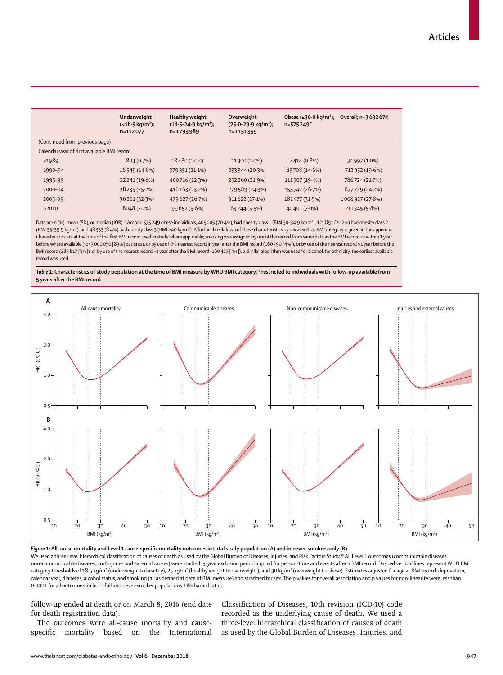|                                             | <b>Underweight</b><br>$(<18.5 \text{ kg/m}^2);$<br>n=112077 | <b>Healthy weight</b><br>$(18.5 - 24.9 \text{ kg/m}^2)$ ;<br>n=1793989 | Overweight<br>$(25.0 - 29.9 \text{ kg/m}^2)$ ;<br>n=1151359 | Obese (≥30.0 kg/m <sup>2</sup> ); Overall; n=3 632 674<br>$n=575249*$ |                  |
|---------------------------------------------|-------------------------------------------------------------|------------------------------------------------------------------------|-------------------------------------------------------------|-----------------------------------------------------------------------|------------------|
| (Continued from previous page)              |                                                             |                                                                        |                                                             |                                                                       |                  |
| Calendar year of first available BMI record |                                                             |                                                                        |                                                             |                                                                       |                  |
| $1989$                                      | 803 (0.7%)                                                  | 18480 (1.0%)                                                           | 11300 (1.0%)                                                | 4414 (0.8%)                                                           | 34997 (1.0%)     |
| 1990-94                                     | 16 549 (14.8%)                                              | 379 351 (21.1%)                                                        | 233344 (20.3%)                                              | 83708 (14.6%)                                                         | 712 952 (19.6%)  |
| 1995-99                                     | 22241 (19.8%)                                               | 400716 (22.3%)                                                         | 252260 (21.9%)                                              | 111507 (19.4%)                                                        | 786724 (21.7%)   |
| 2000-04                                     | 28 235 (25.2%)                                              | 416 163 (23.2%)                                                        | 279589 (24.3%)                                              | 153742 (26.7%)                                                        | 877729 (24.2%)   |
| 2005-09                                     | 36 201 (32.3%)                                              | 479 627 (26.7%)                                                        | 311622 (27.1%)                                              | 181477 (31.5%)                                                        | 1008 927 (27.8%) |
| $\geq 2010$                                 | 8048 (7.2%)                                                 | 99 652 (5.6%)                                                          | 63244 (5.5%)                                                | 40401 (7.0%)                                                          | 211345 (5.8%)    |

Data are n (%), mean (SD), or median (IQR). \*Among 575249 obese individuals, 405005 (70·4%), had obesity class 1 (BMI 30–34·9 kg/m²), 121891 (21·2%) had obesity class 2 (BMI 35–39·9 kg/m²), and 48353 (8·4%) had obesity class 3 (BMI ≥40 kg/m²). A further breakdown of these characteristics by sex as well as BMI category is given in the appendix. Characteristics are at the time of the first BMI record used in study where applicable; smoking was assigned by use of the record from same date as the BMI record or within 1 year before where available (for 3000050 [83%] patients), or by use of the nearest record in year after the BMI record (160790 [4%]), or by use of the nearest record >1 year before the BMI record (285817 [8%]), or by use of the nearest record >1 year after the BMI record (160427 [4%]); a similar algorithm was used for alcohol; for ethnicity, the earliest available record was used.

Table 1: Characteristics of study population at the time of BMI measure by WHO BMI category,<sup>19</sup> restricted to individuals with follow-up available from **5 years after the BMI record**



*Figure 1:* **All-cause mortality and Level 1 cause-specific mortality outcomes in total study population (A) and in never-smokers only (B)**

We used a three-level hierarchical classification of causes of death as used by the Global Burden of Diseases, Injuries, and Risk Factors Study.<sup>16</sup> All Level 1 outcomes (communicable diseases, non-communicable diseases, and injuries and external causes) were studied. 5-year exclusion period applied for person-time and events after a BMI record. Dashed vertical lines represent WHO BMI category thresholds of 18·5 kg/m² (underweight to healthy), 25 kg/m² (healthy weight to overweight), and 30 kg/m² (overweight to obese). Estimates adjusted for age at BMI record, deprivation, calendar year, diabetes, alcohol status, and smoking (all as defined at date of BMI measure) and stratified for sex. The p values for overall association and p values for non-linearity were less than 0·0001 for all outcomes, in both full and never-smoker populations. HR=hazard ratio.

follow-up ended at death or on March 8, 2016 (end date for death registration data).

The outcomes were all-cause mortality and causespecific mortality based on the International

Classification of Diseases, 10th revision (ICD-10) code recorded as the underlying cause of death. We used a three-level hierarchical classification of causes of death as used by the Global Burden of Diseases, Injuries, and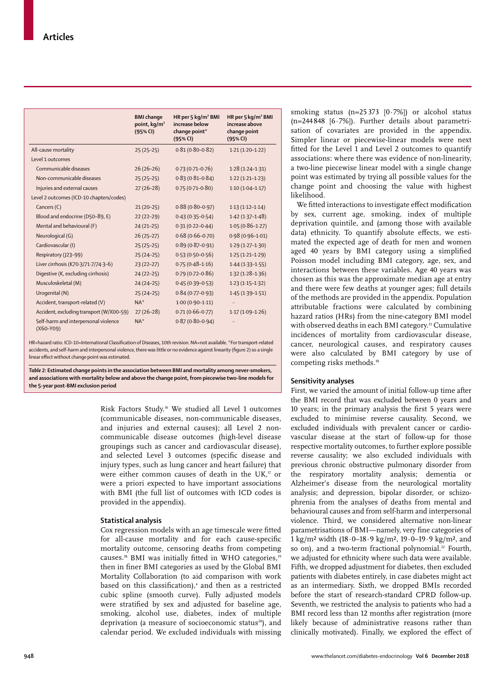|                                                     | <b>BMI</b> change<br>point, kg/m <sup>2</sup><br>(95% CI) | HR per 5 kg/m <sup>2</sup> BMI<br>increase below<br>change point*<br>(95% CI) | HR per 5 kg/m <sup>2</sup> BMI<br>increase above<br>change point<br>(95% CI) |  |
|-----------------------------------------------------|-----------------------------------------------------------|-------------------------------------------------------------------------------|------------------------------------------------------------------------------|--|
| All-cause mortality                                 | $25(25-25)$                                               | $0.81(0.80 - 0.82)$                                                           | $1.21(1.20-1.22)$                                                            |  |
| Level 1 outcomes                                    |                                                           |                                                                               |                                                                              |  |
| Communicable diseases                               | $26(26-26)$                                               | $0.73(0.71 - 0.76)$                                                           | $1.28(1.24 - 1.31)$                                                          |  |
| Non-communicable diseases                           | $25(25-25)$                                               | $0.83(0.81 - 0.84)$                                                           | $1.22(1.21-1.23)$                                                            |  |
| Injuries and external causes                        | $27(26-28)$                                               | $0.75(0.71 - 0.80)$                                                           | $1.10(1.04-1.17)$                                                            |  |
| Level 2 outcomes (ICD-10 chapters/codes)            |                                                           |                                                                               |                                                                              |  |
| Cancers (C)                                         | $21(20-25)$                                               | $0.88(0.80 - 0.97)$                                                           | $1.13(1.12 - 1.14)$                                                          |  |
| Blood and endocrine (D50-89, E)                     | $22(22-29)$                                               | $0.43(0.35 - 0.54)$                                                           | $1.42(1.37 - 1.48)$                                                          |  |
| Mental and behavioural (F)                          | $24(21-25)$                                               | $0.31(0.22 - 0.44)$                                                           | $1.05(0.86 - 1.27)$                                                          |  |
| Neurological (G)                                    | $26(25-27)$                                               | $0.68(0.66 - 0.70)$                                                           | $0.98(0.96 - 1.01)$                                                          |  |
| Cardiovascular (I)                                  | $25(25-25)$                                               | $0.89(0.87 - 0.91)$                                                           | $1.29(1.27-1.30)$                                                            |  |
| Respiratory (J23-99)                                | $25(24-25)$                                               | $0.53(0.50-0.56)$                                                             | $1.25(1.21-1.29)$                                                            |  |
| Liver cirrhosis (K70-3/71-7/74-3-6)                 | $23(22-27)$                                               | $0.75(0.48 - 1.16)$                                                           | $1.44(1.33 - 1.55)$                                                          |  |
| Digestive (K, excluding cirrhosis)                  | $24(22-25)$                                               | $0.79(0.72 - 0.86)$                                                           | $1.32(1.28-1.36)$                                                            |  |
| Musculoskeletal (M)                                 | $24(24-25)$                                               | $0.45(0.39 - 0.53)$                                                           | $1.23(1.15-1.32)$                                                            |  |
| Urogenital (N)                                      | $25(24-25)$                                               | $0.84(0.77-0.93)$                                                             | $1.45(1.39-1.51)$                                                            |  |
| Accident, transport-related (V)                     | $NA*$                                                     | $1.00(0.90 - 1.11)$                                                           |                                                                              |  |
| Accident, excluding transport (W/X00-59)            | $27(26-28)$                                               | $0.71(0.66 - 0.77)$                                                           | $1.17(1.09-1.26)$                                                            |  |
| Self-harm and interpersonal violence<br>$(X60-Y09)$ | $NA*$                                                     | $0.87(0.80 - 0.94)$                                                           |                                                                              |  |

HR=hazard ratio. ICD-10=International Classification of Diseases, 10th revision. NA=not available. \*For transport-related accidents, and self-harm and interpersonal violence, there was little or no evidence against linearity (figure 2) so a single linear effect without change point was estimated.

*Table 2:* **Estimated change points in the association between BMI and mortality among never-smokers, and associations with mortality below and above the change point, from piecewise two-line models for the 5-year post-BMI exclusion period**

> Risk Factors Study.16 We studied all Level 1 outcomes (communicable diseases, non-communicable diseases, and injuries and external causes); all Level 2 noncommunicable disease outcomes (high-level disease groupings such as cancer and cardiovascular disease), and selected Level 3 outcomes (specific disease and injury types, such as lung cancer and heart failure) that were either common causes of death in the UK, $\sigma$  or were a priori expected to have important associations with BMI (the full list of outcomes with ICD codes is provided in the appendix).

## **Statistical analysis**

Cox regression models with an age timescale were fitted for all-cause mortality and for each cause-specific mortality outcome, censoring deaths from competing causes.<sup>18</sup> BMI was initially fitted in WHO categories.<sup>19</sup> then in finer BMI categories as used by the Global BMI Mortality Collaboration (to aid comparison with work based on this classification),<sup>4</sup> and then as a restricted cubic spline (smooth curve). Fully adjusted models were stratified by sex and adjusted for baseline age, smoking, alcohol use, diabetes, index of multiple deprivation (a measure of socioeconomic status<sup>20</sup>), and calendar period. We excluded individuals with missing

smoking status  $(n=25373 \mid 0.7\%)$  or alcohol status (n=244 848 [6·7%]). Further details about parametrisation of covariates are provided in the appendix. Simpler linear or piecewise-linear models were next fitted for the Level 1 and Level 2 outcomes to quantify associations: where there was evidence of non-linearity, a two-line piecewise linear model with a single change point was estimated by trying all possible values for the change point and choosing the value with highest likelihood.

We fitted interactions to investigate effect modification by sex, current age, smoking, index of multiple deprivation quintile, and (among those with available data) ethnicity. To quantify absolute effects, we estimated the expected age of death for men and women aged 40 years by BMI category using a simplified Poisson model including BMI category, age, sex, and interactions between these variables. Age 40 years was chosen as this was the approximate median age at entry and there were few deaths at younger ages; full details of the methods are provided in the appendix. Population attributable fractions were calculated by combining hazard ratios (HRs) from the nine-category BMI model with observed deaths in each BMI category.<sup>21</sup> Cumulative incidences of mortality from cardiovascular disease, cancer, neurological causes, and respiratory causes were also calculated by BMI category by use of competing risks methods.<sup>18</sup>

# **Sensitivity analyses**

First, we varied the amount of initial follow-up time after the BMI record that was excluded between 0 years and 10 years; in the primary analysis the first 5 years were excluded to minimise reverse causality. Second, we excluded individuals with prevalent cancer or cardiovascular disease at the start of follow-up for those respective mortality outcomes, to further explore possible reverse causality; we also excluded individuals with previous chronic obstructive pulmonary disorder from the respiratory mortality analysis; dementia or Alzheimer's disease from the neurological mortality analysis; and depression, bipolar disorder, or schizophrenia from the analyses of deaths from mental and behavioural causes and from self-harm and interpersonal violence. Third, we considered alternative non-linear parametrisations of BMI—namely, very fine categories of 1 kg/m² width (18·0–18·9 kg/m², 19·0–19·9 kg/m², and so on), and a two-term fractional polynomial.<sup>22</sup> Fourth, we adjusted for ethnicity where such data were available. Fifth, we dropped adjustment for diabetes, then excluded patients with diabetes entirely, in case diabetes might act as an intermediary. Sixth, we dropped BMIs recorded before the start of research-standard CPRD follow-up. Seventh, we restricted the analysis to patients who had a BMI record less than 12 months after registration (more likely because of administrative reasons rather than clinically motivated). Finally, we explored the effect of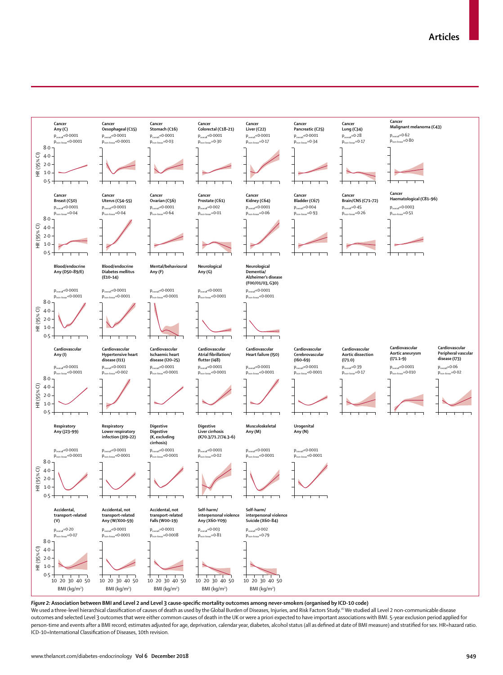

# *Figure 2:* **Association between BMI and Level 2 and Level 3 cause-specific mortality outcomes among never-smokers (organised by ICD-10 code)**

We used a three-level hierarchical classification of causes of death as used by the Global Burden of Diseases, Injuries, and Risk Factors Study.<sup>16</sup> We studied all Level 2 non-communicable disease outcomes and selected Level 3 outcomes that were either common causes of death in the UK or were a priori expected to have important associations with BMI. 5-year exclusion period applied for person-time and events after a BMI record; estimates adjusted for age, deprivation, calendar year, diabetes, alcohol status (all as defined at date of BMI measure) and stratified for sex. HR=hazard ratio. ICD-10=International Classification of Diseases, 10th revision.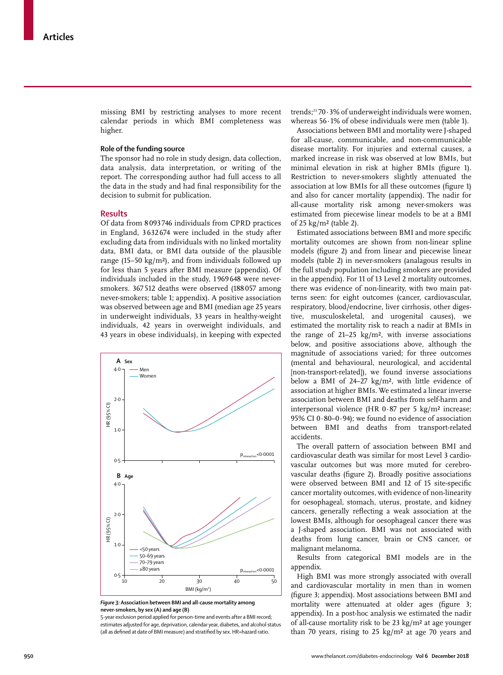missing BMI by restricting analyses to more recent calendar periods in which BMI completeness was higher.

# **Role of the funding source**

The sponsor had no role in study design, data collection, data analysis, data interpretation, or writing of the report. The corresponding author had full access to all the data in the study and had final responsibility for the decision to submit for publication.

# **Results**

Of data from 8 093 746 individuals from CPRD practices in England, 3 632 674 were included in the study after excluding data from individuals with no linked mortality data, BMI data, or BMI data outside of the plausible range (15–50 kg/m²), and from individuals followed up for less than 5 years after BMI measure (appendix). Of individuals included in the study, 1 969 648 were neversmokers. 367 512 deaths were observed (188 057 among never-smokers; table 1; appendix). A positive association was observed between age and BMI (median age 25 years in underweight individuals, 33 years in healthy-weight individuals, 42 years in overweight individuals, and 43 years in obese individuals), in keeping with expected



*Figure 3:* **Association between BMI and all-cause mortality among never-smokers, by sex (A) and age (B)**

5-year exclusion period applied for person-time and events after a BMI record; estimates adjusted for age, deprivation, calendar year, diabetes, and alcohol status (all as defined at date of BMI measure) and stratified by sex. HR=hazard ratio.

trends;<sup>23</sup> 70 $\cdot$  3% of underweight individuals were women, whereas 56·1% of obese individuals were men (table 1).

Associations between BMI and mortality were J-shaped for all-cause, communicable, and non-communicable disease mortality. For injuries and external causes, a marked increase in risk was observed at low BMIs, but minimal elevation in risk at higher BMIs (figure 1). Restriction to never-smokers slightly attenuated the association at low BMIs for all these outcomes (figure 1) and also for cancer mortality (appendix). The nadir for all-cause mortality risk among never-smokers was estimated from piecewise linear models to be at a BMI of 25 kg/m² (table 2).

Estimated associations between BMI and more specific mortality outcomes are shown from non-linear spline models (figure 2) and from linear and piecewise linear models (table 2) in never-smokers (analagous results in the full study population including smokers are provided in the appendix). For 11 of 13 Level 2 mortality outcomes, there was evidence of non-linearity, with two main patterns seen: for eight outcomes (cancer, cardiovascular, respiratory, blood/endocrine, liver cirrhosis, other digestive, musculoskeletal, and urogenital causes), we estimated the mortality risk to reach a nadir at BMIs in the range of  $21-25 \text{ kg/m}^2$ , with inverse associations below, and positive associations above, although the magnitude of associations varied; for three outcomes (mental and behavioural, neurological, and accidental [non-transport-related]), we found inverse associations below a BMI of 24–27 kg/m², with little evidence of association at higher BMIs. We estimated a linear inverse association between BMI and deaths from self-harm and interpersonal violence (HR 0·87 per 5 kg/m² increase; 95% CI 0·80–0·94); we found no evidence of association between BMI and deaths from transport-related accidents.

The overall pattern of association between BMI and cardiovascular death was similar for most Level 3 cardiovascular outcomes but was more muted for cerebrovascular deaths (figure 2). Broadly positive associations were observed between BMI and 12 of 15 site-specific cancer mortality outcomes, with evidence of non-linearity for oesophageal, stomach, uterus, prostate, and kidney cancers, generally reflecting a weak association at the lowest BMIs, although for oesophageal cancer there was a J-shaped association. BMI was not associated with deaths from lung cancer, brain or CNS cancer, or malignant melanoma.

Results from categorical BMI models are in the appendix.

High BMI was more strongly associated with overall and cardiovascular mortality in men than in women (figure 3; appendix). Most associations between BMI and mortality were attenuated at older ages (figure 3; appendix). In a post-hoc analysis we estimated the nadir of all-cause mortality risk to be 23  $kg/m^2$  at age younger than 70 years, rising to 25 kg/m<sup>2</sup> at age 70 years and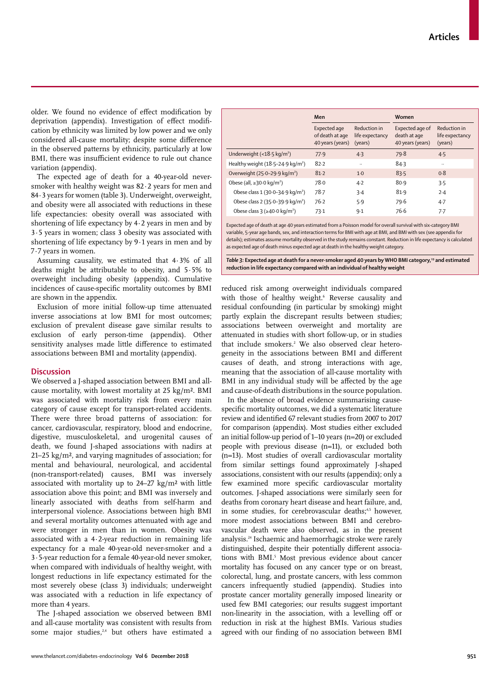older. We found no evidence of effect modification by deprivation (appendix). Investigation of effect modification by ethnicity was limited by low power and we only considered all-cause mortality; despite some difference in the observed patterns by ethnicity, particularly at low BMI, there was insufficient evidence to rule out chance variation (appendix).

The expected age of death for a 40-year-old neversmoker with healthy weight was 82·2 years for men and 84·3 years for women (table 3). Underweight, overweight, and obesity were all associated with reductions in these life expectancies: obesity overall was associated with shortening of life expectancy by 4·2 years in men and by 3·5 years in women; class 3 obesity was associated with shortening of life expectancy by 9·1 years in men and by 7·7 years in women.

Assuming causality, we estimated that 4·3% of all deaths might be attributable to obesity, and 5·5% to overweight including obesity (appendix). Cumulative incidences of cause-specific mortality outcomes by BMI are shown in the appendix.

Exclusion of more initial follow-up time attenuated inverse associations at low BMI for most outcomes; exclusion of prevalent disease gave similar results to exclusion of early person-time (appendix). Other sensitivity analyses made little difference to estimated associations between BMI and mortality (appendix).

# **Discussion**

We observed a J-shaped association between BMI and allcause mortality, with lowest mortality at 25 kg/m². BMI was associated with mortality risk from every main category of cause except for transport-related accidents. There were three broad patterns of association: for cancer, cardiovascular, respiratory, blood and endocrine, digestive, musculoskeletal, and urogenital causes of death, we found J-shaped associations with nadirs at 21–25 kg/m², and varying magnitudes of association; for mental and behavioural, neurological, and accidental (non-transport-related) causes, BMI was inversely associated with mortality up to  $24-27$  kg/m<sup>2</sup> with little association above this point; and BMI was inversely and linearly associated with deaths from self-harm and interpersonal violence. Associations between high BMI and several mortality outcomes attenuated with age and were stronger in men than in women. Obesity was associated with a 4·2-year reduction in remaining life expectancy for a male 40-year-old never-smoker and a 3·5-year reduction for a female 40-year-old never smoker, when compared with individuals of healthy weight, with longest reductions in life expectancy estimated for the most severely obese (class 3) individuals; underweight was associated with a reduction in life expectancy of more than 4 years.

The J-shaped association we observed between BMI and all-cause mortality was consistent with results from some major studies,<sup>2,4</sup> but others have estimated a

|                                                   | Men                                                 |                                            | Women                                               |                                            |
|---------------------------------------------------|-----------------------------------------------------|--------------------------------------------|-----------------------------------------------------|--------------------------------------------|
|                                                   | Expected age<br>of death at age<br>40 years (years) | Reduction in<br>life expectancy<br>(years) | Expected age of<br>death at age<br>40 years (years) | Reduction in<br>life expectancy<br>(years) |
| Underweight $\left($ < 18.5 kg/m <sup>2</sup> )   | 77.9                                                | 4.3                                        | 79.8                                                | 4.5                                        |
| Healthy weight $(18.5-24.9 \text{ kg/m}^2)$       | 82.2                                                |                                            | $84-3$                                              | $\cdot$ .                                  |
| Overweight (25.0-29.9 kg/m <sup>2</sup> )         | 81.2                                                | $1-0$                                      | 83.5                                                | 0.8                                        |
| Obese (all, $\geq$ 30.0 kg/m <sup>2</sup> )       | 78.0                                                | $4-2$                                      | 80.9                                                | 3.5                                        |
| Obese class 1 (30.0-34.9 kg/m <sup>2</sup> )      | 78.7                                                | $3-4$                                      | 81.9                                                | 2.4                                        |
| Obese class 2 (35.0–39.9 kg/m <sup>2</sup> )      | 76.2                                                | 5.9                                        | 79.6                                                | $4-7$                                      |
| Obese class $3$ ( $\geq$ 40.0 kg/m <sup>2</sup> ) | 73.1                                                | $9-1$                                      | 76.6                                                | 7.7                                        |

Expected age of death at age 40 years estimated from a Poisson model for overall survival with six-category BMI variable, 5-year age bands, sex, and interaction terms for BMI with age at BMI, and BMI with sex (see appendix for details); estimates assume mortality observed in the study remains constant. Reduction in life expectancy is calculated as expected age of death minus expected age at death in the healthy weight category.

Table 3: Expected age at death for a never-smoker aged 40 years by WHO BMI category,<sup>19</sup> and estimated **reduction in life expectancy compared with an individual of healthy weight**

reduced risk among overweight individuals compared with those of healthy weight.<sup>6</sup> Reverse causality and residual confounding (in particular by smoking) might partly explain the discrepant results between studies; associations between overweight and mortality are attenuated in studies with short follow-up, or in studies that include smokers.2 We also observed clear heterogeneity in the associations between BMI and different causes of death, and strong interactions with age, meaning that the association of all-cause mortality with BMI in any individual study will be affected by the age and cause-of-death distributions in the source population.

In the absence of broad evidence summarising causespecific mortality outcomes, we did a systematic literature review and identified 67 relevant studies from 2007 to 2017 for comparison (appendix). Most studies either excluded an initial follow-up period of 1–10 years (n=20) or excluded people with previous disease (n=11), or excluded both (n=13). Most studies of overall cardiovascular mortality from similar settings found approximately J-shaped associations, consistent with our results (appendix); only a few examined more specific cardiovascular mortality outcomes. J-shaped associations were similarly seen for deaths from coronary heart disease and heart failure, and, in some studies, for cerebrovascular deaths;<sup>4,5</sup> however, more modest associations between BMI and cerebrovascular death were also observed, as in the present analysis.24 Ischaemic and haemorrhagic stroke were rarely distinguished, despite their potentially different associations with BMI.<sup>5</sup> Most previous evidence about cancer mortality has focused on any cancer type or on breast, colorectal, lung, and prostate cancers, with less common cancers infrequently studied (appendix). Studies into prostate cancer mortality generally imposed linearity or used few BMI categories; our results suggest important non-linearity in the association, with a levelling off or reduction in risk at the highest BMIs. Various studies agreed with our finding of no association between BMI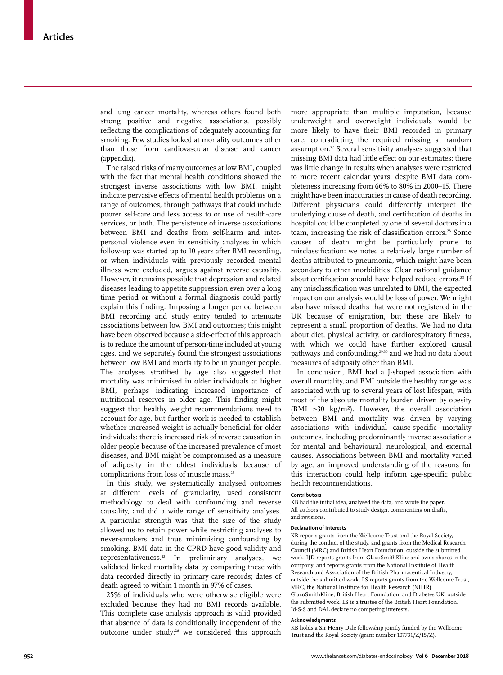and lung cancer mortality, whereas others found both strong positive and negative associations, possibly reflecting the complications of adequately accounting for smoking. Few studies looked at mortality outcomes other than those from cardiovascular disease and cancer (appendix).

The raised risks of many outcomes at low BMI, coupled with the fact that mental health conditions showed the strongest inverse associations with low BMI, might indicate pervasive effects of mental health problems on a range of outcomes, through pathways that could include poorer self-care and less access to or use of health-care services, or both. The persistence of inverse associations between BMI and deaths from self-harm and interpersonal violence even in sensitivity analyses in which follow-up was started up to 10 years after BMI recording, or when individuals with previously recorded mental illness were excluded, argues against reverse causality. However, it remains possible that depression and related diseases leading to appetite suppression even over a long time period or without a formal diagnosis could partly explain this finding. Imposing a longer period between BMI recording and study entry tended to attenuate associations between low BMI and outcomes; this might have been observed because a side-effect of this approach is to reduce the amount of person-time included at young ages, and we separately found the strongest associations between low BMI and mortality to be in younger people. The analyses stratified by age also suggested that mortality was minimised in older individuals at higher BMI, perhaps indicating increased importance of nutritional reserves in older age. This finding might suggest that healthy weight recommendations need to account for age, but further work is needed to establish whether increased weight is actually beneficial for older individuals: there is increased risk of reverse causation in older people because of the increased prevalence of most diseases, and BMI might be compromised as a measure of adiposity in the oldest individuals because of complications from loss of muscle mass.25

In this study, we systematically analysed outcomes at different levels of granularity, used consistent methodology to deal with confounding and reverse causality, and did a wide range of sensitivity analyses. A particular strength was that the size of the study allowed us to retain power while restricting analyses to never-smokers and thus minimising confounding by smoking. BMI data in the CPRD have good validity and representativeness.12 In preliminary analyses, we validated linked mortality data by comparing these with data recorded directly in primary care records; dates of death agreed to within 1 month in 97% of cases.

25% of individuals who were otherwise eligible were excluded because they had no BMI records available. This complete case analysis approach is valid provided that absence of data is conditionally independent of the outcome under study;<sup>26</sup> we considered this approach more appropriate than multiple imputation, because underweight and overweight individuals would be more likely to have their BMI recorded in primary care, contradicting the required missing at random assumption.<sup>27</sup> Several sensitivity analyses suggested that missing BMI data had little effect on our estimates: there was little change in results when analyses were restricted to more recent calendar years, despite BMI data completeness increasing from 66% to 80% in 2000–15. There might have been inaccuracies in cause of death recording. Different physicians could differently interpret the underlying cause of death, and certification of deaths in hospital could be completed by one of several doctors in a team, increasing the risk of classification errors.<sup>28</sup> Some causes of death might be particularly prone to misclassification: we noted a relatively large number of deaths attributed to pneumonia, which might have been secondary to other morbidities. Clear national guidance about certification should have helped reduce errors.<sup>28</sup> If any misclassification was unrelated to BMI, the expected impact on our analysis would be loss of power. We might also have missed deaths that were not registered in the UK because of emigration, but these are likely to represent a small proportion of deaths. We had no data about diet, physical activity, or cardiorespiratory fitness, with which we could have further explored causal pathways and confounding,<sup>29,30</sup> and we had no data about measures of adiposity other than BMI.

In conclusion, BMI had a J-shaped association with overall mortality, and BMI outside the healthy range was associated with up to several years of lost lifespan, with most of the absolute mortality burden driven by obesity (BMI  $\geq$ 30 kg/m<sup>2</sup>). However, the overall association between BMI and mortality was driven by varying associations with individual cause-specific mortality outcomes, including predominantly inverse associations for mental and behavioural, neurological, and external causes. Associations between BMI and mortality varied by age; an improved understanding of the reasons for this interaction could help inform age-specific public health recommendations.

### **Contributors**

KB had the initial idea, analysed the data, and wrote the paper. All authors contributed to study design, commenting on drafts, and revisions.

#### **Declaration of interests**

KB reports grants from the Wellcome Trust and the Royal Society, during the conduct of the study, and grants from the Medical Research Council (MRC) and British Heart Foundation, outside the submitted work. IJD reports grants from GlaxoSmithKline and owns shares in the company; and reports grants from the National Institute of Health Research and Association of the British Pharmaceutical Industry, outside the submitted work. LS reports grants from the Wellcome Trust, MRC, the National Institute for Health Research (NIHR), GlaxoSmithKline, British Heart Foundation, and Diabetes UK, outside the submitted work. LS is a trustee of the British Heart Foundation. Id-S-S and DAL declare no competing interests.

#### **Acknowledgments**

KB holds a Sir Henry Dale fellowship jointly funded by the Wellcome Trust and the Royal Society (grant number 107731/Z/15/Z).